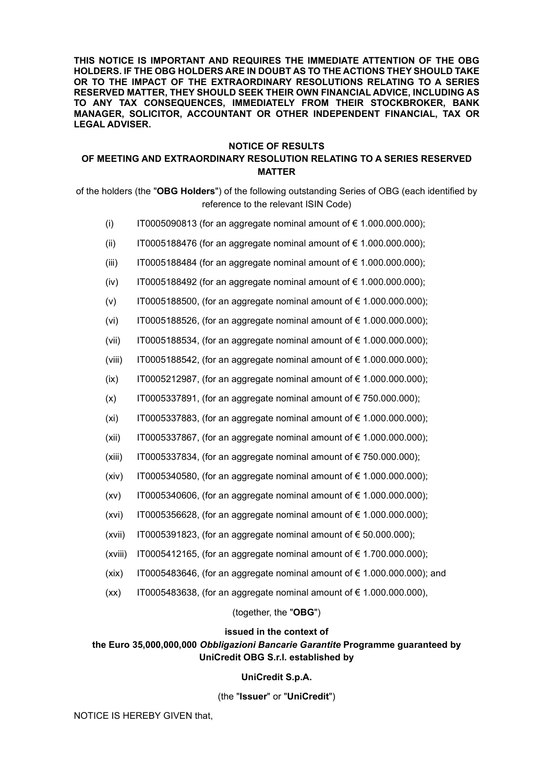**THIS NOTICE IS IMPORTANT AND REQUIRES THE IMMEDIATE ATTENTION OF THE OBG HOLDERS. IF THE OBG HOLDERS ARE IN DOUBT AS TO THE ACTIONS THEY SHOULD TAKE OR TO THE IMPACT OF THE EXTRAORDINARY RESOLUTIONS RELATING TO A SERIES RESERVED MATTER, THEY SHOULD SEEK THEIR OWN FINANCIAL ADVICE, INCLUDING AS TO ANY TAX CONSEQUENCES, IMMEDIATELY FROM THEIR STOCKBROKER, BANK MANAGER, SOLICITOR, ACCOUNTANT OR OTHER INDEPENDENT FINANCIAL, TAX OR LEGAL ADVISER.** 

#### **NOTICE OF RESULTS**

### **OF MEETING AND EXTRAORDINARY RESOLUTION RELATING TO A SERIES RESERVED MATTER**

of the holders (the "**OBG Holders**") of the following outstanding Series of OBG (each identified by reference to the relevant ISIN Code)

- (i) IT0005090813 (for an aggregate nominal amount of € 1.000.000.000);
- (ii) IT0005188476 (for an aggregate nominal amount of  $\epsilon$  1.000.000.000);
- (iii) IT0005188484 (for an aggregate nominal amount of  $\epsilon$  1.000.000.000);
- (iv) IT0005188492 (for an aggregate nominal amount of €1.000.000.000);
- (v) IT0005188500, (for an aggregate nominal amount of €1.000.000.000);
- (vi) IT0005188526, (for an aggregate nominal amount of €1.000.000.000);
- (vii) IT0005188534, (for an aggregate nominal amount of  $\epsilon$  1.000.000.000);
- (viii) IT0005188542, (for an aggregate nominal amount of  $\epsilon$  1.000.000.000);
- (ix) IT0005212987, (for an aggregate nominal amount of  $\epsilon$  1.000.000.000);
- $(x)$  IT0005337891, (for an aggregate nominal amount of  $\epsilon$  750.000.000);
- (xi) IT0005337883, (for an aggregate nominal amount of  $\epsilon$  1.000.000.000);
- (xii) IT0005337867, (for an aggregate nominal amount of €1.000.000.000);
- (xiii) IT0005337834, (for an aggregate nominal amount of  $\epsilon$  750.000.000);
- (xiv) IT0005340580, (for an aggregate nominal amount of  $\epsilon$  1.000.000.000);
- (xv) IT0005340606, (for an aggregate nominal amount of €1.000.000.000);
- (xvi) IT0005356628, (for an aggregate nominal amount of  $\epsilon$  1.000.000.000);
- (xvii) IT0005391823, (for an aggregate nominal amount of  $\epsilon$  50.000.000);
- (xviii) IT0005412165, (for an aggregate nominal amount of  $\epsilon$  1.700.000.000);
- (xix) IT0005483646, (for an aggregate nominal amount of  $\epsilon$  1.000.000.000); and
- $(xx)$  IT0005483638, (for an aggregate nominal amount of  $\epsilon$  1.000.000.000),

#### (together, the "**OBG**")

#### **issued in the context of**

## **the Euro 35,000,000,000** *Obbligazioni Bancarie Garantite* **Programme guaranteed by UniCredit OBG S.r.l. established by**

### **UniCredit S.p.A.**

#### (the "**Issuer**" or "**UniCredit**")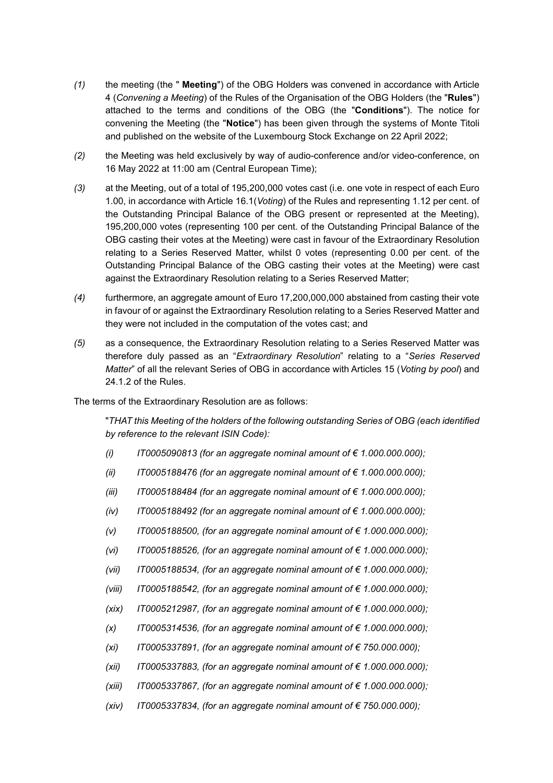- *(1)* the meeting (the " **Meeting**") of the OBG Holders was convened in accordance with Article 4 (*Convening a Meeting*) of the Rules of the Organisation of the OBG Holders (the "**Rules**") attached to the terms and conditions of the OBG (the "**Conditions**"). The notice for convening the Meeting (the "**Notice**") has been given through the systems of Monte Titoli and published on the website of the Luxembourg Stock Exchange on 22 April 2022;
- *(2)* the Meeting was held exclusively by way of audio-conference and/or video-conference, on 16 May 2022 at 11:00 am (Central European Time);
- *(3)* at the Meeting, out of a total of 195,200,000 votes cast (i.e. one vote in respect of each Euro 1.00, in accordance with Article 16.1(*Voting*) of the Rules and representing 1.12 per cent. of the Outstanding Principal Balance of the OBG present or represented at the Meeting), 195,200,000 votes (representing 100 per cent. of the Outstanding Principal Balance of the OBG casting their votes at the Meeting) were cast in favour of the Extraordinary Resolution relating to a Series Reserved Matter, whilst 0 votes (representing 0.00 per cent. of the Outstanding Principal Balance of the OBG casting their votes at the Meeting) were cast against the Extraordinary Resolution relating to a Series Reserved Matter;
- *(4)* furthermore, an aggregate amount of Euro 17,200,000,000 abstained from casting their vote in favour of or against the Extraordinary Resolution relating to a Series Reserved Matter and they were not included in the computation of the votes cast; and
- *(5)* as a consequence, the Extraordinary Resolution relating to a Series Reserved Matter was therefore duly passed as an "*Extraordinary Resolution*" relating to a "*Series Reserved Matter*" of all the relevant Series of OBG in accordance with Articles 15 (*Voting by pool*) and 24.1.2 of the Rules.

The terms of the Extraordinary Resolution are as follows:

"*THAT this Meeting of the holders of the following outstanding Series of OBG (each identified by reference to the relevant ISIN Code):* 

- *(i) IT0005090813 (for an aggregate nominal amount of € 1.000.000.000);*
- *(ii) IT0005188476 (for an aggregate nominal amount of € 1.000.000.000);*
- *(iii) IT0005188484 (for an aggregate nominal amount of € 1.000.000.000);*
- *(iv) IT0005188492 (for an aggregate nominal amount of € 1.000.000.000);*
- *(v) IT0005188500, (for an aggregate nominal amount of € 1.000.000.000);*
- *(vi) IT0005188526, (for an aggregate nominal amount of € 1.000.000.000);*
- *(vii) IT0005188534, (for an aggregate nominal amount of € 1.000.000.000);*
- *(viii) IT0005188542, (for an aggregate nominal amount of € 1.000.000.000);*
- *(xix) IT0005212987, (for an aggregate nominal amount of € 1.000.000.000);*
- *(x) IT0005314536, (for an aggregate nominal amount of € 1.000.000.000);*
- *(xi) IT0005337891, (for an aggregate nominal amount of € 750.000.000);*
- *(xii) IT0005337883, (for an aggregate nominal amount of € 1.000.000.000);*
- *(xiii) IT0005337867, (for an aggregate nominal amount of € 1.000.000.000);*
- *(xiv) IT0005337834, (for an aggregate nominal amount of € 750.000.000);*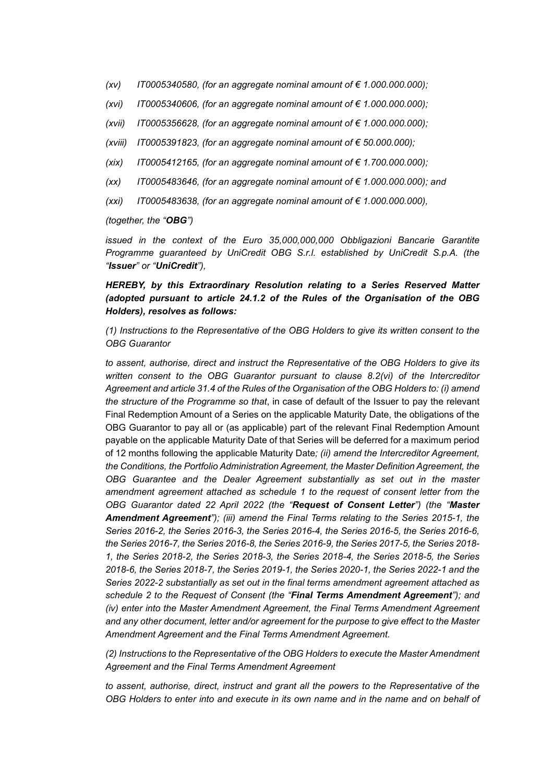- *(xv) IT0005340580, (for an aggregate nominal amount of € 1.000.000.000);*
- *(xvi) IT0005340606, (for an aggregate nominal amount of € 1.000.000.000);*
- *(xvii) IT0005356628, (for an aggregate nominal amount of € 1.000.000.000);*
- *(xviii) IT0005391823, (for an aggregate nominal amount of € 50.000.000);*
- *(xix) IT0005412165, (for an aggregate nominal amount of € 1.700.000.000);*
- *(xx) IT0005483646, (for an aggregate nominal amount of € 1.000.000.000); and*
- *(xxi) IT0005483638, (for an aggregate nominal amount of € 1.000.000.000),*

*(together, the "OBG")* 

*issued in the context of the Euro 35,000,000,000 Obbligazioni Bancarie Garantite Programme guaranteed by UniCredit OBG S.r.l. established by UniCredit S.p.A. (the "Issuer" or "UniCredit"),* 

### *HEREBY, by this Extraordinary Resolution relating to a Series Reserved Matter (adopted pursuant to article 24.1.2 of the Rules of the Organisation of the OBG Holders), resolves as follows:*

*(1) Instructions to the Representative of the OBG Holders to give its written consent to the OBG Guarantor* 

*to assent, authorise, direct and instruct the Representative of the OBG Holders to give its written consent to the OBG Guarantor pursuant to clause 8.2(vi) of the Intercreditor Agreement and article 31.4 of the Rules of the Organisation of the OBG Holders to: (i) amend the structure of the Programme so that*, in case of default of the Issuer to pay the relevant Final Redemption Amount of a Series on the applicable Maturity Date, the obligations of the OBG Guarantor to pay all or (as applicable) part of the relevant Final Redemption Amount payable on the applicable Maturity Date of that Series will be deferred for a maximum period of 12 months following the applicable Maturity Date*; (ii) amend the Intercreditor Agreement, the Conditions, the Portfolio Administration Agreement, the Master Definition Agreement, the OBG Guarantee and the Dealer Agreement substantially as set out in the master amendment agreement attached as schedule 1 to the request of consent letter from the OBG Guarantor dated 22 April 2022 (the "Request of Consent Letter") (the "Master Amendment Agreement"); (iii) amend the Final Terms relating to the Series 2015-1, the Series 2016-2, the Series 2016-3, the Series 2016-4, the Series 2016-5, the Series 2016-6, the Series 2016-7, the Series 2016-8, the Series 2016-9, the Series 2017-5, the Series 2018- 1, the Series 2018-2, the Series 2018-3, the Series 2018-4, the Series 2018-5, the Series 2018-6, the Series 2018-7, the Series 2019-1, the Series 2020-1, the Series 2022-1 and the Series 2022-2 substantially as set out in the final terms amendment agreement attached as schedule 2 to the Request of Consent (the "Final Terms Amendment Agreement"); and (iv)* enter into the Master Amendment Agreement, the Final Terms Amendment Agreement *and any other document, letter and/or agreement for the purpose to give effect to the Master Amendment Agreement and the Final Terms Amendment Agreement.* 

*(2) Instructions to the Representative of the OBG Holders to execute the Master Amendment Agreement and the Final Terms Amendment Agreement* 

*to assent, authorise, direct, instruct and grant all the powers to the Representative of the OBG Holders to enter into and execute in its own name and in the name and on behalf of*